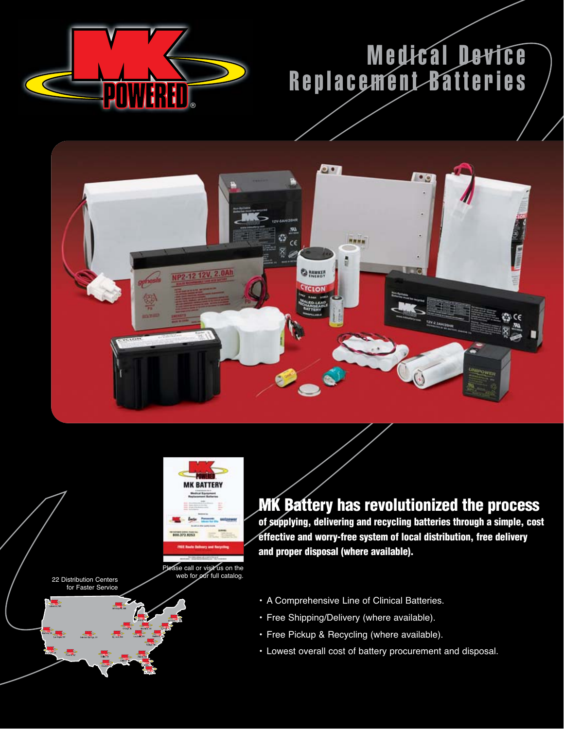

## Medical Device Replacement Batteries





Please call or visit us on the 22 Distribution Centers web for our full catalog.

22 Distribution Centers<br>for Faster Service

**MK Battery has revolutionized the process**

**of supplying, delivering and recycling batteries through a simple, cost effective and worry-free system of local distribution, free delivery and proper disposal (where available).**

- A Comprehensive Line of Clinical Batteries.
- Free Shipping/Delivery (where available).
- Free Pickup & Recycling (where available).
- Lowest overall cost of battery procurement and disposal.